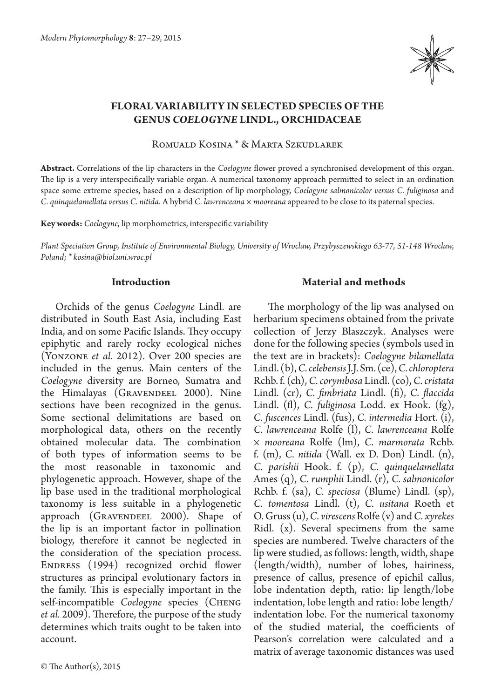

# **Floral variability in selected species of the genus** *Coelogyne* **Lindl., Orchidaceae**

Romuald Kosina \* & Marta Szkudlarek

**Abstract.** Correlations of the lip characters in the *Coelogyne* flower proved a synchronised development of this organ. The lip is a very interspecifically variable organ. A numerical taxonomy approach permitted to select in an ordination space some extreme species, based on a description of lip morphology, *Coelogyne salmonicolor versus C. fuliginosa* and *C. quinquelamellata versus C. nitida*. A hybrid *C. lawrenceana × mooreana* appeared to be close to its paternal species.

**Key words:** *Coelogyne*, lip morphometrics, interspecific variability

*Plant Speciation Group, Institute of Environmental Biology, University of Wroclaw, Przybyszewskiego 63-77, 51-148 Wroclaw, Poland; \* kosina@biol.uni.wroc.pl*

## **Introduction**

Orchids of the genus *Coelogyne* Lindl. are distributed in South East Asia, including East India, and on some Pacific Islands. They occupy epiphytic and rarely rocky ecological niches (Yonzone *et al.* 2012). Over 200 species are included in the genus. Main centers of the *Coelogyne* diversity are Borneo, Sumatra and the Himalayas (GRAVENDEEL 2000). Nine sections have been recognized in the genus. Some sectional delimitations are based on morphological data, others on the recently obtained molecular data. The combination of both types of information seems to be the most reasonable in taxonomic and phylogenetic approach. However, shape of the lip base used in the traditional morphological taxonomy is less suitable in a phylogenetic approach (GRAVENDEEL 2000). Shape of the lip is an important factor in pollination biology, therefore it cannot be neglected in the consideration of the speciation process. ENDRESS (1994) recognized orchid flower structures as principal evolutionary factors in the family. This is especially important in the self-incompatible *Coelogyne* species (Cheng *et al.* 2009). Therefore, the purpose of the study determines which traits ought to be taken into account.

# **Material and methods**

The morphology of the lip was analysed on herbarium specimens obtained from the private collection of Jerzy Błaszczyk. Analyses were done for the following species (symbols used in the text are in brackets): *Coelogyne bilamellata*  Lindl. (b), *C. celebensis* J.J. Sm. (ce), *C. chloroptera*  Rchb. f. (ch), *C. corymbosa* Lindl. (co), *C. cristata*  Lindl. (cr), *C. fimbriata* Lindl. (fi), *C. flaccida*  Lindl. (fl), *C. fuliginosa* Lodd. ex Hook. (fg), *C. fuscences* Lindl. (fus), *C. intermedia* Hort. (i), *C. lawrenceana* Rolfe (l), *C. lawrenceana* Rolfe *× mooreana* Rolfe (lm), *C. marmorata* Rchb. f. (m), *C. nitida* (Wall. ex D. Don) Lindl. (n), *C. parishii* Hook. f. (p), *C. quinquelamellata*  Ames (q), *C. rumphii* Lindl. (r), *C. salmonicolor*  Rchb. f. (sa), *C. speciosa* (Blume) Lindl. (sp), *C. tomentosa* Lindl. (t), *C. usitana* Roeth et O. Gruss (u), *C. virescens* Rolfe (v) and *C. xyrekes* Ridl. (x). Several specimens from the same species are numbered. Twelve characters of the lip were studied, as follows: length, width, shape (length/width), number of lobes, hairiness, presence of callus, presence of epichil callus, lobe indentation depth, ratio: lip length/lobe indentation, lobe length and ratio: lobe length/ indentation lobe. For the numerical taxonomy of the studied material, the coefficients of Pearson's correlation were calculated and a matrix of average taxonomic distances was used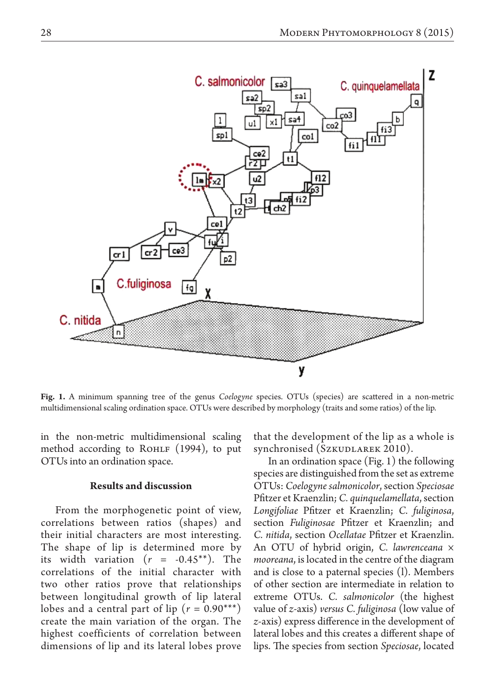

**Fig. 1.** A minimum spanning tree of the genus *Coelogyne* species. OTUs (species) are scattered in a non-metric multidimensional scaling ordination space. OTUs were described by morphology (traits and some ratios) of the lip.

in the non-metric multidimensional scaling method according to ROHLF  $(1994)$ , to put OTUs into an ordination space.

#### **Results and discussion**

From the morphogenetic point of view, correlations between ratios (shapes) and their initial characters are most interesting. The shape of lip is determined more by its width variation  $(r = -0.45^{**})$ . The correlations of the initial character with two other ratios prove that relationships between longitudinal growth of lip lateral lobes and a central part of lip  $(r = 0.90***)$ create the main variation of the organ. The highest coefficients of correlation between dimensions of lip and its lateral lobes prove

that the development of the lip as a whole is synchronised (Szkudlarek 2010).

In an ordination space (Fig. 1) the following species are distinguished from the set as extreme OTUs: *Coelogyne salmonicolor*, section *Speciosae* Pfitzer et Kraenzlin; *C. quinquelamellata*, section *Longifoliae* Pfitzer et Kraenzlin; *C. fuliginosa*, section *Fuliginosae* Pfitzer et Kraenzlin; and *C. nitida*, section *Ocellatae* Pfitzer et Kraenzlin. An OTU of hybrid origin, *C. lawrenceana* × *mooreana*, is located in the centre of the diagram and is close to a paternal species (l). Members of other section are intermediate in relation to extreme OTUs. *C. salmonicolor* (the highest value of *z*-axis) *versus C. fuliginosa* (low value of *z*-axis) express difference in the development of lateral lobes and this creates a different shape of lips. The species from section *Speciosae*, located